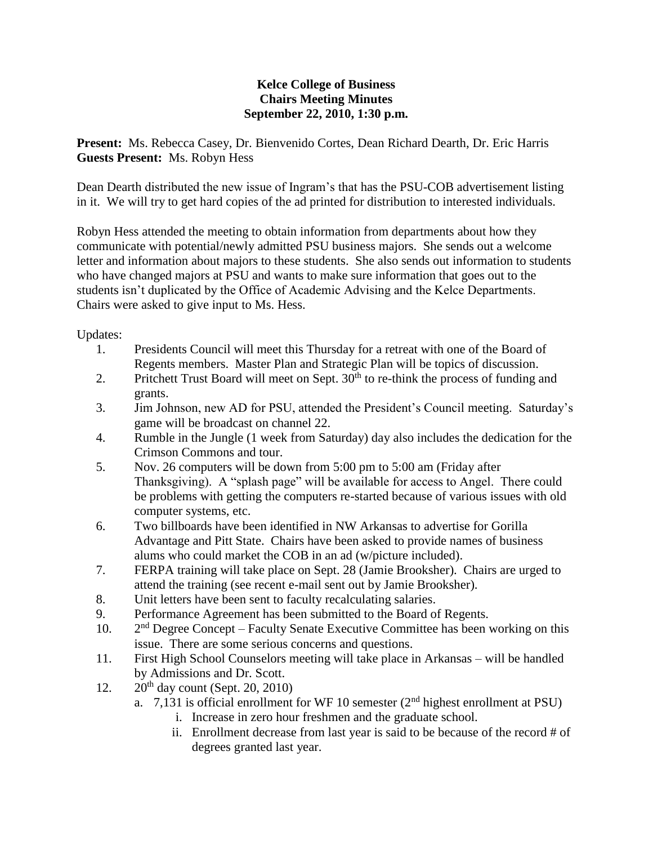## **Kelce College of Business Chairs Meeting Minutes September 22, 2010, 1:30 p.m.**

**Present:** Ms. Rebecca Casey, Dr. Bienvenido Cortes, Dean Richard Dearth, Dr. Eric Harris **Guests Present:** Ms. Robyn Hess

Dean Dearth distributed the new issue of Ingram's that has the PSU-COB advertisement listing in it. We will try to get hard copies of the ad printed for distribution to interested individuals.

Robyn Hess attended the meeting to obtain information from departments about how they communicate with potential/newly admitted PSU business majors. She sends out a welcome letter and information about majors to these students. She also sends out information to students who have changed majors at PSU and wants to make sure information that goes out to the students isn't duplicated by the Office of Academic Advising and the Kelce Departments. Chairs were asked to give input to Ms. Hess.

Updates:

- 1. Presidents Council will meet this Thursday for a retreat with one of the Board of Regents members. Master Plan and Strategic Plan will be topics of discussion.
- 2. Pritchett Trust Board will meet on Sept.  $30<sup>th</sup>$  to re-think the process of funding and grants.
- 3. Jim Johnson, new AD for PSU, attended the President's Council meeting. Saturday's game will be broadcast on channel 22.
- 4. Rumble in the Jungle (1 week from Saturday) day also includes the dedication for the Crimson Commons and tour.
- 5. Nov. 26 computers will be down from 5:00 pm to 5:00 am (Friday after Thanksgiving). A "splash page" will be available for access to Angel. There could be problems with getting the computers re-started because of various issues with old computer systems, etc.
- 6. Two billboards have been identified in NW Arkansas to advertise for Gorilla Advantage and Pitt State. Chairs have been asked to provide names of business alums who could market the COB in an ad (w/picture included).
- 7. FERPA training will take place on Sept. 28 (Jamie Brooksher). Chairs are urged to attend the training (see recent e-mail sent out by Jamie Brooksher).
- 8. Unit letters have been sent to faculty recalculating salaries.
- 9. Performance Agreement has been submitted to the Board of Regents.
- $10.$  $2<sup>nd</sup>$  Degree Concept – Faculty Senate Executive Committee has been working on this issue. There are some serious concerns and questions.
- 11. First High School Counselors meeting will take place in Arkansas will be handled by Admissions and Dr. Scott.
- 12.  $20^{th}$  day count (Sept. 20, 2010)
	- a. 7,131 is official enrollment for WF 10 semester  $(2<sup>nd</sup>$  highest enrollment at PSU)
		- i. Increase in zero hour freshmen and the graduate school.
		- ii. Enrollment decrease from last year is said to be because of the record # of degrees granted last year.